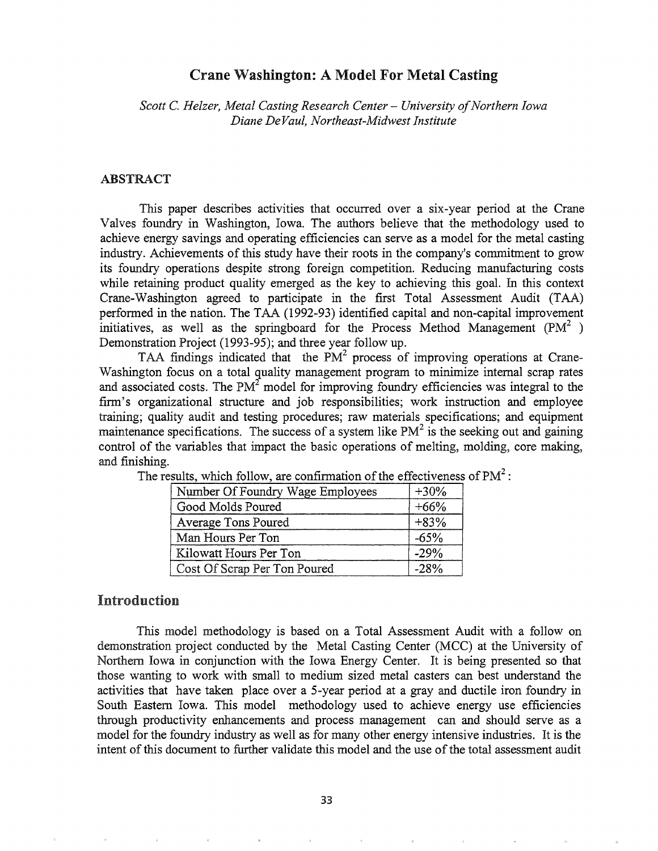### Crane Washington: A Model For Metal Casting

*Scott* C. *Helzer, Metal Casting Research Center* - *University of Northern Iowa Diane DeVaul, Northeast-Midwest Institute*

### ABSTRACT

This paper describes activities that occurred over a six-year period at the Crane Valves foundry in Washington, Iowa. The authors believe that the methodology used to achieve energy savings and operating efficiencies can serve as a model for the metal casting industry. Achievements of this study have their roots in the company's commitment to grow its foundry operations despite strong foreign competition. Reducing manufacturing costs while retaining product quality emerged as the key to achieving this goal. In this context Crane-Washington agreed to participate in the first Total Assessment Audit (TAA) perfonned in the nation. The TAA (1992-93) identified capital and non-capital improvement initiatives, as well as the springboard for the Process Method Management (PM<sup>2</sup>) Demonstration Project (1993-95); and three year follow up.

TAA findings indicated that the  $PM^2$  process of improving operations at Crane-Washington focus on a total quality management program to minimize internal scrap rates and associated costs. The  $PM<sup>2</sup>$  model for improving foundry efficiencies was integral to the firm's organizational structure and job responsibilities; work instruction and employee training; quality audit and testing procedures; raw materials specifications; and equipment maintenance specifications. The success of a system like  $PM^2$  is the seeking out and gaining control of the variables that impact the basic operations of melting, molding, core making, and finishing.

| Number Of Foundry Wage Employees | $+30%$ |
|----------------------------------|--------|
| Good Molds Poured                | $+66%$ |
| Average Tons Poured              | $+83%$ |
| Man Hours Per Ton                | $-65%$ |
| Kilowatt Hours Per Ton           | $-29%$ |
| Cost Of Scrap Per Ton Poured     | $-28%$ |

The results, which follow, are confirmation of the effectiveness of  $PM<sup>2</sup>$ :

# Introduction

This model methodology is based on a Total Assessment Audit with a follow on demonstration project conducted by the Metal Casting Center (MCC) at the University of Northern Iowa in conjunction with the Iowa Energy Center. It is being presented so that those wanting to work with small to medium sized metal casters can best understand the activities that have taken place over a 5-year period at a gray and ductile iron foundry in South Eastern Iowa. This model methodology used to achieve energy use efficiencies through productivity enhancements and process management can and should serve as a model for the foundry industry as well as for many other energy intensive industries. It is the intent of this document to further validate this model and the use of the total assessment audit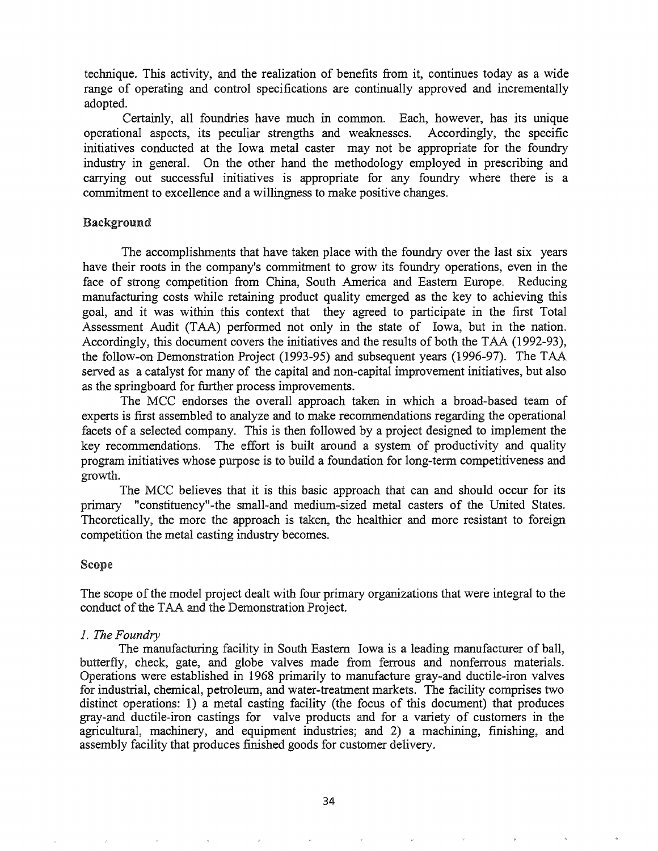technique. This activity, and the realization of benefits from it, continues today as a wide range of operating and control specifications are continually approved and incrementally adopted.

Certainly, all foundries have much in common. Each, however, has its unique operational aspects, its peculiar strengths and weaknesses. Accordingly, the specific initiatives conducted at the Iowa metal caster may not be appropriate for the foundry industry in general. On the other hand the methodology employed in prescribing and carrying out successful initiatives is appropriate for any foundry where there is a commitment to excellence and a willingness to make positive changes.

### Background

The accomplishments that have taken place with the foundry over the last six years have their roots in the company's commitment to grow its foundry operations, even in the face of strong competition from China, South America and Eastern Europe. Reducing manufacturing costs while retaining product quality emerged as the key to achieving this goal, and it was within this context that they agreed to participate in the first Total Assessment Audit (TAA) performed not only in the state of Iowa, but in the nation. Accordingly, this document covers the initiatives and the results of both the TAA (1992-93), the follow-on Demonstration Project (1993-95) and subsequent years (1996-97). The TAA served as a catalyst for many of the capital and non-capital improvement initiatives, but also as the springboard for further process improvements.

The MCC endorses the overall approach taken in which a broad-based team of experts is first assembled to analyze and to make recommendations regarding the operational facets of a selected company. This is then followed by a project designed to implement the key recommendations. The effort is built around a system of productivity and quality program initiatives whose purpose is to build a foundation for long-term competitiveness and growth.

The MCC believes that it is this basic approach that can and should occur for its primary "constituency"-the small-and medium-sized metal casters of the United States. Theoretically, the more the approach is taken, the healthier and more resistant to foreign competition the metal casting industry becomes.

#### Scope

The scope of the model project dealt with four primary organizations that were integral to the conduct of the TAA and the Demonstration Project.

#### 1. The Foundry

The manufacturing facility in South Eastern Iowa is a leading manufacturer of ball, butterfly, check, gate, and globe valves made from ferrous and nonferrous materials. Operations were established in 1968 primarily to manufacture gray-and ductile-iron valves for industrial, chemical, petroleum, and water-treatment markets. The facility comprises two distinct operations: 1) a metal casting facility (the focus of this document) that produces gray-and ductile-iron castings for valve products and for a variety of customers in the agricultural, machinery, and equipment industries; and 2) a machining, finishing, and assembly facility that produces finished goods for customer delivery.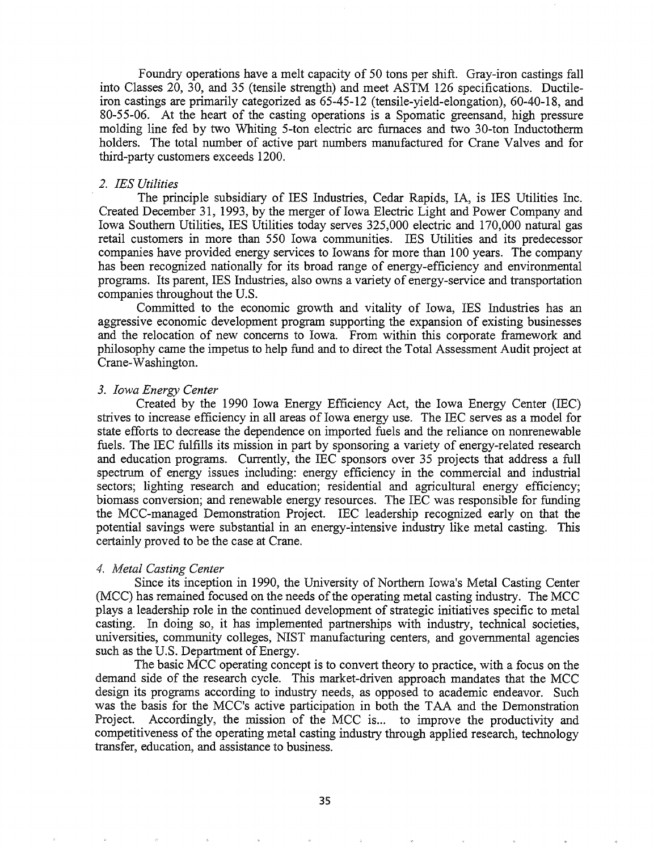Foundry operations have a melt capacity of 50 tons per shift. Gray-iron castings fall into Classes 20, 30, and 35 (tensile strength) and meet ASTM 126 specifications. Ductileiron castings are primarily categorized as 65-45-12 (tensile-yield-elongation), 60-40-18, and 80-55-06. At the heart of the casting operations is a Spomatic greensand, high pressure molding line fed by two Whiting 5-ton electric arc furnaces and two 30-ton Inductotherm holders. The total number of active part numbers manufactured for Crane Valves and for third-party customers exceeds 1200.

#### *2. IES Utilities*

The principle subsidiary of IES Industries, Cedar Rapids, IA, is IES Utilities Inc. Created December 31, 1993, by the merger of Iowa Electric Light and Power Company and Iowa Southern Utilities, IES Utilities today serves 325,000 electric and 170,000 natural gas retail customers in more than 550 Iowa communities. IES Utilities and its predecessor companies have provided energy services to Iowans for more than 100 years. The company has been recognized nationally for its broad range of energy-efficiency and environmental programs. Its parent, IES Industries, also owns a variety of energy-service and transportation companies throughout the U.S.

Committed to the economic growth and vitality of Iowa, IES Industries has an aggressive economic development program supporting the expansion of existing businesses and the relocation of new concerns to Iowa. From within this corporate framework and philosophy came the impetus to help fund and to direct the Total Assessment Audit project at Crane-Washington.

#### *3. Iowa Energy Center*

Created by the 1990 Iowa Energy Efficiency Act, the Iowa Energy Center (IEC) strives to increase efficiency in all areas of Iowa energy use. The IEC serves as a model for state efforts to decrease the dependence on imported fuels and the reliance on nonrenewable fuels. The IEC fulfills its mission in part by sponsoring a variety of energy-related research and education programs. Currently, the IEC sponsors over 35 projects that address a full spectrum of energy issues including: energy efficiency in the commercial and industrial sectors; lighting research and education; residential and agricultural energy efficiency; biomass conversion; and renewable energy resources. The IEC was responsible for funding the MCC-managed Demonstration Project. IEC leadership recognized early on that the potential savings were substantial in an energy-intensive industry like metal casting. This certainly proved to be the case at Crane.

#### 4s *Metal Casting Center*

Since its inception in 1990, the University of Northern Iowa's Metal Casting Center (MCC) has remained focused on the needs of the operating metal casting industry. The MCC plays a leadership role in the continued development of strategic initiatives specific to metal casting. In doing so, it has implemented partnerships with industry, technical societies, universities, community colleges, NIST manufacturing centers, and governmental agencies such as the U.S. Department of Energy.

The basic MCC operating concept is to convert theory to practice, with a focus on the demand side of the research cycle. This market-driven approach mandates that the MCC design its programs according to industry needs, as opposed to academic endeavor. Such was the basis for the MCC's active participation in both the TAA and the Demonstration Project. Accordingly, the mission of the MCC is... to improve the productivity and competitiveness ofthe operating metal casting industry through applied research, technology transfer, education, and assistance to business.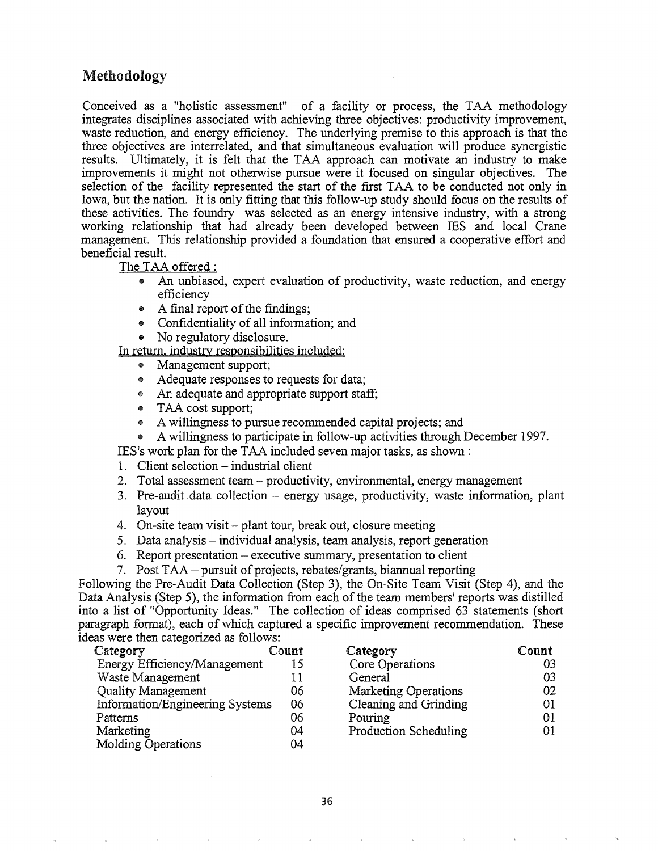# Methodology

Conceived as a "holistic assessment" of a facility or process, the TAA methodology integrates disciplines associated with achieving three objectives: productivity improvement, waste reduction, and energy efficiency. The underlying premise to this approach is that the three objectives are interrelated, and that simultaneous evaluation will produce synergistic results. Ultimately, it is felt that the TAA approach can motivate an industry to make improvements it might not otherwise pursue were it focused on singular objectives. The selection of the facility represented the start of the first TAA to be conducted not only in Iowa, but the nation. It is only fitting that this follow-up study should focus on the results of these activities. The foundry was selected as an energy intensive industry, with a strong working relationship that had already been developed between IES and local Crane management. This relationship provided a foundation that ensured a cooperative effort and beneficial result.

The TAA offered:

- .. An unbiased, expert evaluation of productivity, waste reduction, and energy efficiency
- A final report of the findings:
- Confidentiality of all information; and
- No regulatory disclosure.

In return, industry responsibilities included:

- Management support;
- Adequate responses to requests for data;
- An adequate and appropriate support staff;
- TAA cost support;
- A willingness to pursue recommended capital projects; and
- A willingness to participate in follow-up activities through December 1997.

IES's work plan for the TAA included seven major tasks, as shown :

- 1. Client selection industrial client
- 2. Total assessment team productivity, environmental, energy management
- 3. Pre-audit data collection energy usage, productivity, waste information, plant layout
- 4. On-site team visit plant tour, break out, closure meeting
- 5. Data analysis individual analysis, team analysis, report generation
- 6. Report presentation executive summary, presentation to client
- 7. Post TAA pursuit of projects, rebates/grants, biannual reporting

Following the Pre-Audit Data Collection (Step 3), the On-Site Team Visit (Step 4), and the Data Analysis (Step 5), the information from each of the team members' reports was distilled into a list of "Opportunity Ideas." The collection of ideas comprised 63 statements (short paragraph format), each of which captured a specific improvement recommendation. These ideas were then categorized as follows:

| Category<br>Count               |    | Cat |
|---------------------------------|----|-----|
| Energy Efficiency/Management    | 15 | Coi |
| Waste Management                | 11 | Ge  |
| <b>Quality Management</b>       | 06 | Ma  |
| Information/Engineering Systems | 06 | Cle |
| Patterns                        | 06 | Pol |
| Marketing                       | 04 | Pro |
| <b>Molding Operations</b>       | 04 |     |

| Category                     | Count |
|------------------------------|-------|
| Core Operations              | ሰ3    |
| General                      | 03    |
| <b>Marketing Operations</b>  | 02    |
| Cleaning and Grinding        | 01    |
| Pouring                      | 01    |
| <b>Production Scheduling</b> | ሰ1    |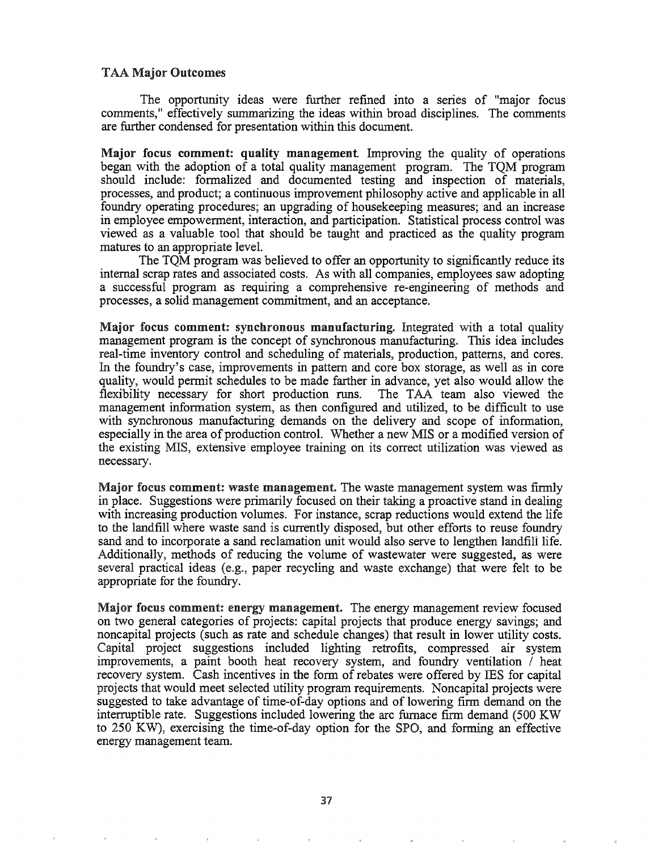#### TAA Major Outcomes

The opportunity ideas were further refined into a series of "major focus comments," effectively summarizing the ideas within broad disciplines. The comments are further condensed for presentation within this document.

Major focus comment: quality management Improving the quality of operations began with the adoption of a total quality management program. The TQM program should include: formalized and documented testing and inspection of materials, processes, and product; a continuous improvement philosophy active and applicable in all foundry operating procedures; an upgrading of housekeeping measures; and an increase in employee empowennent, interaction, and participation. Statistical process control was viewed as a valuable tool that should be taught and practiced as the quality program. matures to an appropriate level.

The TQM program was believed to offer an opportunity to significantly reduce its internal scrap rates and associated costs. As with all companies, employees saw adopting a successful program as requiring a comprehensive re-engineering of methods and processes, a solid management commitment, and an acceptance.

Major focus comment: synchronous manufacturing. Integrated with a total quality management program is the concept of synchronous manufacturing. This idea includes real-time inventory control and scheduling of materials, production, patterns, and cores. In the foundry's case, improvements in pattern and core box storage, as well as in core quality, would permit schedules to be made farther in advance, yet also would allow the flexibility necessary for short production runs. The TAA team also viewed the management information system, as then configured and utilized, to be difficult to use with synchronous manufacturing demands on the delivery and scope of information, especially in the area of production control. Whether a new MIS or a modified version of the existing MIS, extensive employee training on its correct utilization was viewed as necessary.

Major focus comment: waste management. The waste management system was firmly in place. Suggestions were primarily focused on their taking a proactive stand in dealing with increasing production volumes. For instance, scrap reductions would extend the life to the landfill where waste sand is currently disposed, but other efforts to reuse foundry sand and to incorporate a sand reclamation unit would also serve to lengthen landfill life. Additionally, methods of reducing the volume of wastewater were suggested, as were several practical ideas (e.g., paper recycling and waste exchange) that were felt to be appropriate for the foundry.

Major focus comment: energy management. The energy management review focused on two general categories of projects: capital projects that produce energy savings; and noncapital projects (such as rate and schedule changes) that result in lower utility costs. Capital project suggestions included lighting retrofits, compressed air system improvements, a paint booth heat recovery system, and foundry ventilation / heat recovery system. Cash incentives in the form of rebates were offered by IES for capital projects that would meet selected utility program requirements. Noncapital projects were suggested to take advantage of time-of-day options and of lowering firm demand on the interruptible rate. Suggestions included lowering the arc furnace finn demand (500 KW to 250 KW), exercising the time-of-day option for the SPO, and forming an effective energy management team.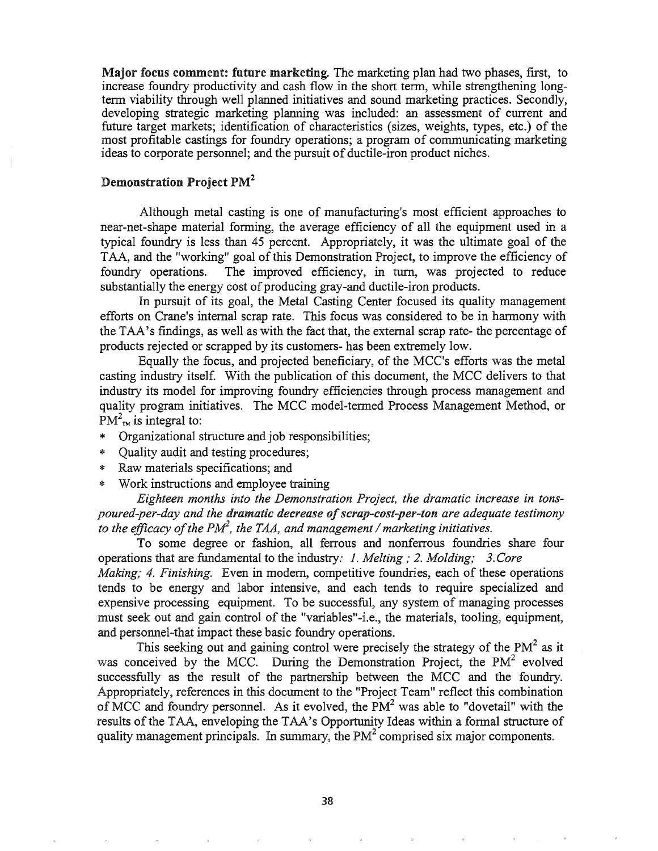Major focus comment: future marketing. The marketing plan had two phases, first, to increase foundry productivity and cash flow in the short term, while strengthening longterm viability through well planned initiatives and sound marketing practices. Secondly, developing strategic marketing planning was included: an assessment of current and future target markets; identification of characteristics (sizes, weights, types, etc.) of the most profitable castings for foundry operations; a program of communicating marketing ideas to corporate personnel; and the pursuit of ductile-iron product niches.

### Demonstration Project PM<sup>2</sup>

Although metal casting is one of manufacturing's most efficient approaches to near-net-shape material fonning, the average efficiency of all the equipment used in a typical foundry is less than 45 percent. Appropriately, it was the ultimate goal of the TAA, and the "working" goal of this Demonstration Project, to improve the efficiency of foundry operations. The improved efficiency, in turn, was projected to reduce substantially the energy cost of producing gray-and ductile-iron products.

In pursuit of its goal, the Metal Casting Center focused its quality management efforts on Crane's internal scrap rate. This focus was considered to be in hannony with the TAA's findings, as well as with the fact that, the external scrap rate- the percentage of products rejected or scrapped by its customers- has been extremely low.

Equally the focus, and projected beneficiary, of the MCe's efforts was the metal casting industry itself. With the publication of this document, the MCC delivers to that industry its model for improving foundry efficiencies through process management and quality program initiatives. The MCC model-tenned Process Management Method, or  $PM^2_{\tau M}$  is integral to:

- \* Organizational structure and job responsibilities;
- \* Quality audit and testing procedures;
- \* Raw materials specifications; and
- \* Work instructions and employee training

*Eighteen months into the Demonstration Project, the dramatic increase in tonspoured-per-day and the dramatic decrease ofscrap-cost-per-ton are adequate testimony to the efficacy ofthe PM2 , the TAA, and management* / *marketing initiatives.*

To some degree or fashion, all ferrous and nonferrous foundries share four operations that are fundamental to the industry: 1. *Melting;* 2. *Molding; 3.Core Making;* 4. *Finishing.* Even in modem, competitive foundries, each of these operations tends to be energy and labor intensive, and each tends to require specialized and expensive processing equipment. To be successful, any system of managing processes must seek out and gain control of the "variables"-i.e., the materials, tooling, equipment, and personnel-that impact these basic foundry operations.

This seeking out and gaining control were precisely the strategy of the PM<sup>2</sup> as it was conceived by the MCC. During the Demonstration Project, the  $PM<sup>2</sup>$  evolved successfully as the result of the partnership between the MCC and the foundry. Appropriately, references in this document to the "Project Team" reflect this combination of MCC and foundry personnel. As it evolved, the  $PM<sup>2</sup>$  was able to "dovetail" with the results of the TAA, enveloping the TAA's Opportunity Ideas within a formal structure of quality management principals. In summary, the  $PM<sup>2</sup>$  comprised six major components.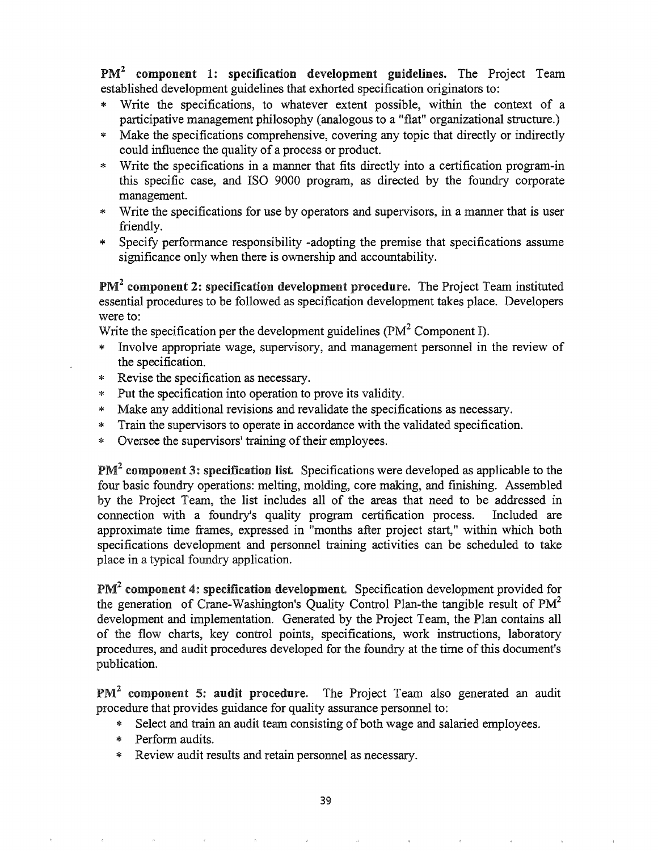PM<sup>2</sup> component 1: specification development guidelines. The Project Team established development guidelines that exhorted specification originators to:

- \* Write the specifications, to whatever extent possible, within the context of a participative management philosophy (analogous to a "flat" organizational structure.)
- \* Make the specifications comprehensive, covering any topic that directly or indirectly could influence the quality of a process or product.
- \* Write the specifications in a manner that fits directly into a certification program-in this specific case, and ISO 9000 program, as directed by the foundry corporate management.
- \* Write the specifications for use by operators and supervisors, in a manner that is user friendly.
- \* Specify performance responsibility -adopting the premise that specifications assume significance only when there is ownership and accountability.

 $PM<sup>2</sup>$  component 2: specification development procedure. The Project Team instituted essential procedures to be followed as specification development takes place. Developers were to:

Write the specification per the development guidelines ( $PM<sup>2</sup>$  Component I).

- \* Involve appropriate wage, supervisory, and management personnel in the review of the specification.
- \* Revise the specification as necessary.
- \* Put the specification into operation to prove its validity.
- \* Make any additional revisions and revalidate the specifications as necessary.
- \* Train the supervisors to operate in accordance with the validated specification.
- \* Oversee the supervisors' training of their employees.

 $PM<sup>2</sup>$  component 3: specification list. Specifications were developed as applicable to the four basic foundry operations: melting, molding, core making, and finishing. Assembled by the Project Team, the list includes all of the areas that need to be addressed in connection with a foundry's quality program certification process. Included are approximate time frames, expressed in "months after project start," within which both specifications development and personnel training activities can be scheduled to take place in a typical foundry application.

 $PM<sup>2</sup>$  component 4: specification development. Specification development provided for the generation of Crane-Washington's Quality Control Plan-the tangible result of  $PM<sup>2</sup>$ development and implementation. Generated by the Project Team, the Plan contains all of the flow charts, key control points, specifications, work instructions, laboratory procedures, and audit procedures developed for the foundry at the time of this document's publication.

PM<sup>2</sup> component 5: audit procedure. The Project Team also generated an audit procedure that provides guidance for quality assurance personnel to:

- \* Select and train an audit team consisting of both wage and salaried employees.
- \* Perform audits.
- \* Review audit results and retain personnel as necessary.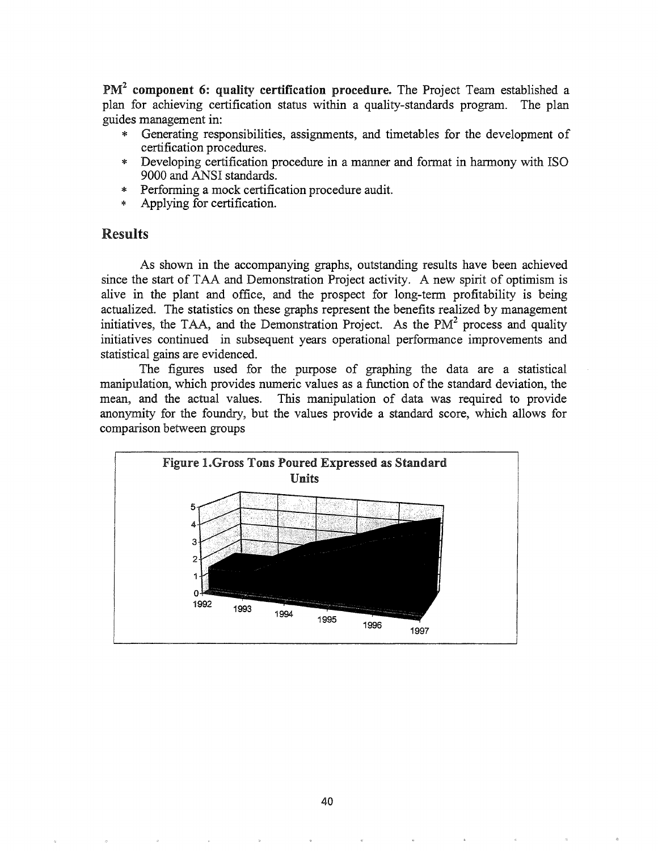$PM<sup>2</sup>$  component 6: quality certification procedure. The Project Team established a plan for achieving certification status within a quality-standards program. The plan guides management in:

- Generating responsibilities, assignments, and timetables for the development of certification procedures.
- Developing certification procedure in a manner and format in harmony with ISO 9000 and ANSI standards.
- Performing a mock certification procedure audit.
- Applying for certification.

## Results

As shown in the accompanying graphs, outstanding results have been achieved since the start of TAA and Demonstration Project activity. A new spirit of optimism is alive in the plant and office, and the prospect for long-term profitability is being actualized. The statistics on these graphs represent the benefits realized by management initiatives, the TAA, and the Demonstration Project. As the  $PM<sup>2</sup>$  process and quality initiatives continued in subsequent years operational performance improvements and statistical gains are evidenced.

The figures used for the purpose of graphing the data are a statistical manipulation, which provides numeric values as a function of the standard deviation, the mean, and the actual values. This manipulation of data was required to provide anonymity for the foundry, but the values provide a standard score, which allows for comparison between groups

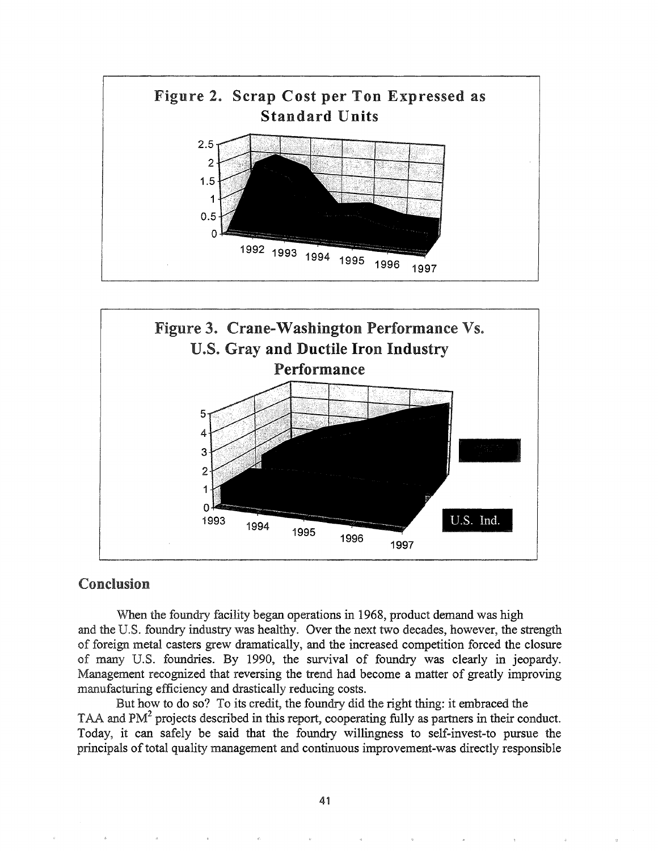



# Conclusion

When the foundry facility began operations in 1968, product demand was high and the U.S. foundry industry was healthy. Over the next two decades, however, the strength of foreign metal casters grew dramatically, and the increased competition forced the closure of many U.S. foundries. By 1990, the survival of foundry was clearly in jeopardy. Management recognized that reversing the trend had become a matter of greatly improving manufacturing efficiency and drastically reducing costs.

But how to do so? To its credit, the foundry did the right thing: it embraced the TAA and PM<sup>2</sup> projects described in this report, cooperating fully as partners in their conduct. Today, it can safely be said that the foundry willingness to self-invest-to pursue the principals of total quality management and continuous improvement-was directly responsible